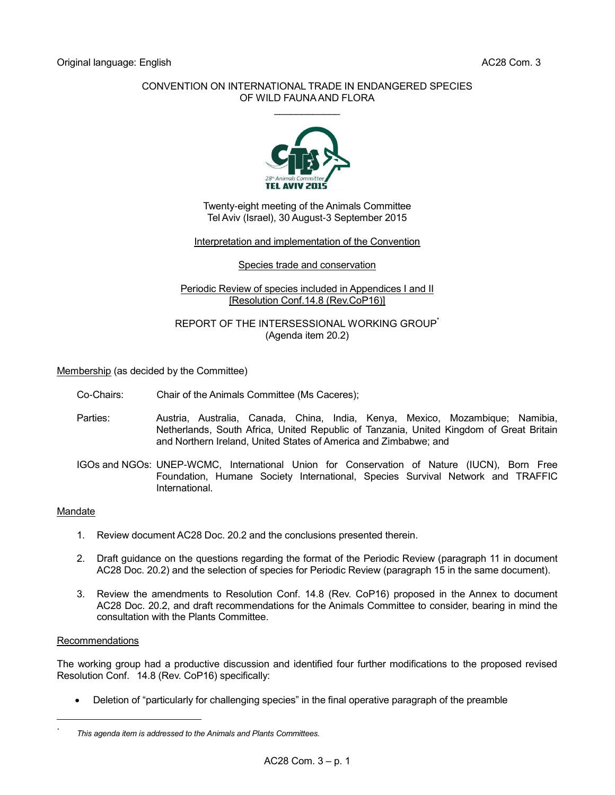## CONVENTION ON INTERNATIONAL TRADE IN ENDANGERED SPECIES OF WILD FAUNA AND FLORA  $\mathcal{L}$  . The set of the set of the set of the set of the set of the set of the set of the set of the set of the set of the set of the set of the set of the set of the set of the set of the set of the set of the set of t



Twenty-eight meeting of the Animals Committee Tel Aviv (Israel), 30 August-3 September 2015

## Interpretation and implementation of the Convention

#### Species trade and conservation

## Periodic Review of species included in Appendices I and II [Resolution Conf.14.8 (Rev.CoP16)]

## REPORT OF THE INTERSESSIONAL WORKING GROUP (Agenda item 20.2)

Membership (as decided by the Committee)

- Co-Chairs: Chair of the Animals Committee (Ms Caceres);
- Parties: Austria, Australia, Canada, China, India, Kenya, Mexico, Mozambique; Namibia, Netherlands, South Africa, United Republic of Tanzania, United Kingdom of Great Britain and Northern Ireland, United States of America and Zimbabwe; and
- IGOs and NGOs: UNEP-WCMC, International Union for Conservation of Nature (IUCN), Born Free Foundation, Humane Society International, Species Survival Network and TRAFFIC International.

## **Mandate**

- 1. Review document AC28 Doc. 20.2 and the conclusions presented therein.
- 2. Draft guidance on the questions regarding the format of the Periodic Review (paragraph 11 in document AC28 Doc. 20.2) and the selection of species for Periodic Review (paragraph 15 in the same document).
- 3. Review the amendments to Resolution Conf. 14.8 (Rev. CoP16) proposed in the Annex to document AC28 Doc. 20.2, and draft recommendations for the Animals Committee to consider, bearing in mind the consultation with the Plants Committee.

#### Recommendations

l *\**

The working group had a productive discussion and identified four further modifications to the proposed revised Resolution Conf. 14.8 (Rev. CoP16) specifically:

Deletion of "particularly for challenging species" in the final operative paragraph of the preamble

*This agenda item is addressed to the Animals and Plants Committees.*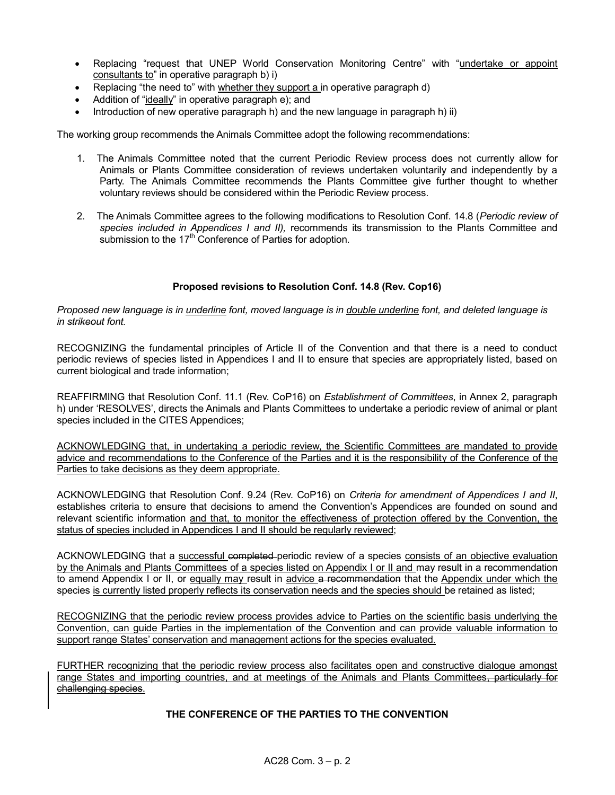- Replacing "request that UNEP World Conservation Monitoring Centre" with "undertake or appoint consultants to" in operative paragraph b) i)
- Replacing "the need to" with whether they support a in operative paragraph d)
- Addition of "ideally" in operative paragraph e); and
- Introduction of new operative paragraph h) and the new language in paragraph h) ii)

The working group recommends the Animals Committee adopt the following recommendations:

- 1. The Animals Committee noted that the current Periodic Review process does not currently allow for Animals or Plants Committee consideration of reviews undertaken voluntarily and independently by a Party. The Animals Committee recommends the Plants Committee give further thought to whether voluntary reviews should be considered within the Periodic Review process.
- 2. The Animals Committee agrees to the following modifications to Resolution Conf. 14.8 (*Periodic review of species included in Appendices I and II),* recommends its transmission to the Plants Committee and submission to the 17<sup>th</sup> Conference of Parties for adoption.

## **Proposed revisions to Resolution Conf. 14.8 (Rev. Cop16)**

*Proposed new language is in underline font, moved language is in double underline font, and deleted language is in strikeout font.* 

RECOGNIZING the fundamental principles of Article II of the Convention and that there is a need to conduct periodic reviews of species listed in Appendices I and II to ensure that species are appropriately listed, based on current biological and trade information;

REAFFIRMING that Resolution Conf. 11.1 (Rev. CoP16) on *Establishment of Committees*, in Annex 2, paragraph h) under 'RESOLVES', directs the Animals and Plants Committees to undertake a periodic review of animal or plant species included in the CITES Appendices;

ACKNOWLEDGING that, in undertaking a periodic review, the Scientific Committees are mandated to provide advice and recommendations to the Conference of the Parties and it is the responsibility of the Conference of the Parties to take decisions as they deem appropriate.

ACKNOWLEDGING that Resolution Conf. 9.24 (Rev. CoP16) on *Criteria for amendment of Appendices I and II*, establishes criteria to ensure that decisions to amend the Convention's Appendices are founded on sound and relevant scientific information and that, to monitor the effectiveness of protection offered by the Convention, the status of species included in Appendices I and II should be regularly reviewed;

ACKNOWLEDGING that a successful completed periodic review of a species consists of an objective evaluation by the Animals and Plants Committees of a species listed on Appendix I or II and may result in a recommendation to amend Appendix I or II, or equally may result in advice a recommendation that the Appendix under which the species is currently listed properly reflects its conservation needs and the species should be retained as listed;

RECOGNIZING that the periodic review process provides advice to Parties on the scientific basis underlying the Convention, can guide Parties in the implementation of the Convention and can provide valuable information to support range States' conservation and management actions for the species evaluated.

FURTHER recognizing that the periodic review process also facilitates open and constructive dialogue amongst range States and importing countries, and at meetings of the Animals and Plants Committees, particularly for challenging species.

## **THE CONFERENCE OF THE PARTIES TO THE CONVENTION**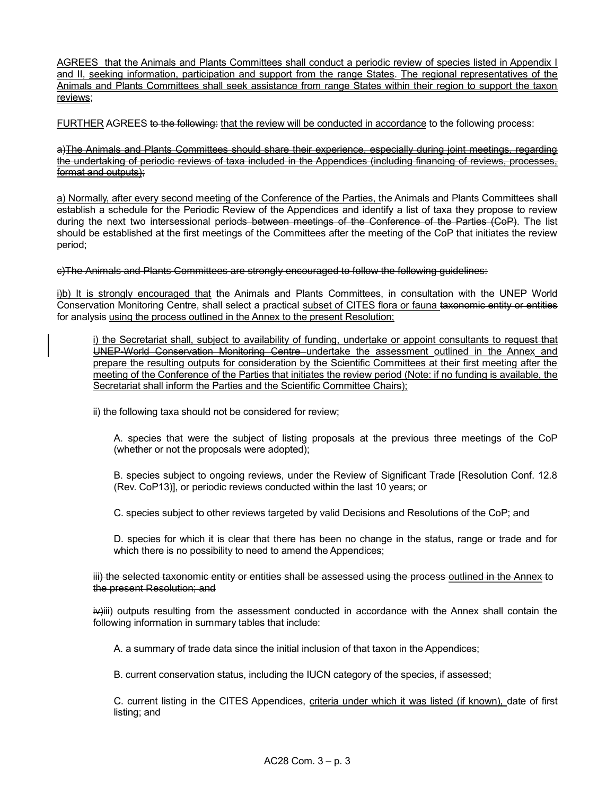AGREES that the Animals and Plants Committees shall conduct a periodic review of species listed in Appendix I and II, seeking information, participation and support from the range States. The regional representatives of the Animals and Plants Committees shall seek assistance from range States within their region to support the taxon reviews;

FURTHER AGREES to the following: that the review will be conducted in accordance to the following process:

## a)The Animals and Plants Committees should share their experience, especially during joint meetings, regarding the undertaking of periodic reviews of taxa included in the Appendices (including financing of reviews, processes, format and outputs);

a) Normally, after every second meeting of the Conference of the Parties, the Animals and Plants Committees shall establish a schedule for the Periodic Review of the Appendices and identify a list of taxa they propose to review during the next two intersessional periods–between meetings of the Conference of the Parties (CoP). The list should be established at the first meetings of the Committees after the meeting of the CoP that initiates the review period;

c)The Animals and Plants Committees are strongly encouraged to follow the following guidelines:

i)b) It is strongly encouraged that the Animals and Plants Committees, in consultation with the UNEP World Conservation Monitoring Centre, shall select a practical subset of CITES flora or fauna taxonomic entity or entities for analysis using the process outlined in the Annex to the present Resolution;

i) the Secretariat shall, subject to availability of funding, undertake or appoint consultants to request that UNEP-World Conservation Monitoring Centre undertake the assessment outlined in the Annex and prepare the resulting outputs for consideration by the Scientific Committees at their first meeting after the meeting of the Conference of the Parties that initiates the review period (Note: if no funding is available, the Secretariat shall inform the Parties and the Scientific Committee Chairs);

ii) the following taxa should not be considered for review;

A. species that were the subject of listing proposals at the previous three meetings of the CoP (whether or not the proposals were adopted);

B. species subject to ongoing reviews, under the Review of Significant Trade [Resolution Conf. 12.8 (Rev. CoP13)], or periodic reviews conducted within the last 10 years; or

C. species subject to other reviews targeted by valid Decisions and Resolutions of the CoP; and

D. species for which it is clear that there has been no change in the status, range or trade and for which there is no possibility to need to amend the Appendices;

iii) the selected taxonomic entity or entities shall be assessed using the process outlined in the Annex to the present Resolution; and

 $iv$ iii) outputs resulting from the assessment conducted in accordance with the Annex shall contain the following information in summary tables that include:

A. a summary of trade data since the initial inclusion of that taxon in the Appendices;

B. current conservation status, including the IUCN category of the species, if assessed;

C. current listing in the CITES Appendices, criteria under which it was listed (if known), date of first listing; and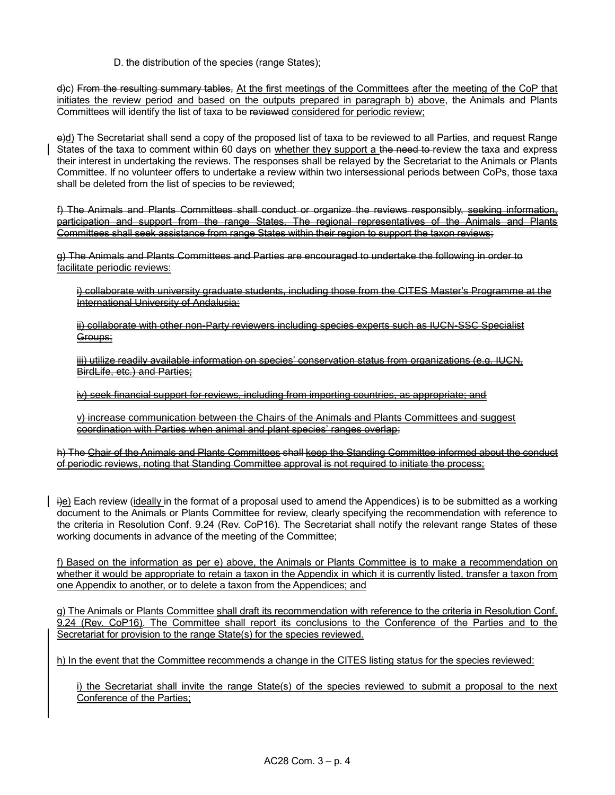D. the distribution of the species (range States);

d)c) From the resulting summary tables, At the first meetings of the Committees after the meeting of the CoP that initiates the review period and based on the outputs prepared in paragraph b) above, the Animals and Plants Committees will identify the list of taxa to be reviewed considered for periodic review;

e)d) The Secretariat shall send a copy of the proposed list of taxa to be reviewed to all Parties, and request Range States of the taxa to comment within 60 days on whether they support a the need to-review the taxa and express their interest in undertaking the reviews. The responses shall be relayed by the Secretariat to the Animals or Plants Committee. If no volunteer offers to undertake a review within two intersessional periods between CoPs, those taxa shall be deleted from the list of species to be reviewed;

f) The Animals and Plants Committees shall conduct or organize the reviews responsibly, seeking information, participation and support from the range States. The regional representatives of the Animals and Plants Committees shall seek assistance from range States within their region to support the taxon reviews;

g) The Animals and Plants Committees and Parties are encouraged to undertake the following in order to facilitate periodic reviews:

i) collaborate with university graduate students, including those from the CITES Master's Programme at the International University of Andalusia;

ii) collaborate with other non-Party reviewers including species experts such as IUCN-SSC Specialist Groups;

iii) utilize readily available information on species' conservation status from organizations (e.g. IUCN, BirdLife, etc.) and Parties:

iv) seek financial support for reviews, including from importing countries, as appropriate; and

v) increase communication between the Chairs of the Animals and Plants Committees and suggest coordination with Parties when animal and plant species' ranges overlap;

h) The Chair of the Animals and Plants Committees shall keep the Standing Committee informed about the conduct of periodic reviews, noting that Standing Committee approval is not required to initiate the process;

i)e) Each review (ideally in the format of a proposal used to amend the Appendices) is to be submitted as a working document to the Animals or Plants Committee for review, clearly specifying the recommendation with reference to the criteria in Resolution Conf. 9.24 (Rev. CoP16). The Secretariat shall notify the relevant range States of these working documents in advance of the meeting of the Committee;

f) Based on the information as per e) above, the Animals or Plants Committee is to make a recommendation on whether it would be appropriate to retain a taxon in the Appendix in which it is currently listed, transfer a taxon from one Appendix to another, or to delete a taxon from the Appendices; and

g) The Animals or Plants Committee shall draft its recommendation with reference to the criteria in Resolution Conf. 9.24 (Rev. CoP16). The Committee shall report its conclusions to the Conference of the Parties and to the Secretariat for provision to the range State(s) for the species reviewed.

h) In the event that the Committee recommends a change in the CITES listing status for the species reviewed:

i) the Secretariat shall invite the range State(s) of the species reviewed to submit a proposal to the next Conference of the Parties;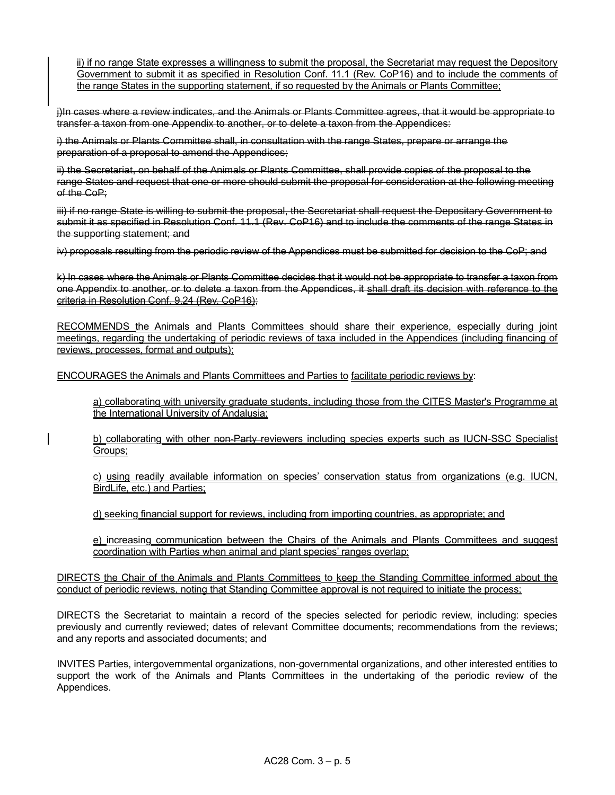ii) if no range State expresses a willingness to submit the proposal, the Secretariat may request the Depository Government to submit it as specified in Resolution Conf. 11.1 (Rev. CoP16) and to include the comments of the range States in the supporting statement, if so requested by the Animals or Plants Committee;

j)In cases where a review indicates, and the Animals or Plants Committee agrees, that it would be appropriate to transfer a taxon from one Appendix to another, or to delete a taxon from the Appendices:

i) the Animals or Plants Committee shall, in consultation with the range States, prepare or arrange the preparation of a proposal to amend the Appendices;

ii) the Secretariat, on behalf of the Animals or Plants Committee, shall provide copies of the proposal to the range States and request that one or more should submit the proposal for consideration at the following meeting of the CoP:

iii) if no range State is willing to submit the proposal, the Secretariat shall request the Depositary Government to submit it as specified in Resolution Conf. 11.1 (Rev. CoP16) and to include the comments of the range States in the supporting statement; and

iv) proposals resulting from the periodic review of the Appendices must be submitted for decision to the CoP; and

k) In cases where the Animals or Plants Committee decides that it would not be appropriate to transfer a taxon from one Appendix to another, or to delete a taxon from the Appendices, it shall draft its decision with reference to the criteria in Resolution Conf. 9.24 (Rev. CoP16);

RECOMMENDS the Animals and Plants Committees should share their experience, especially during joint meetings, regarding the undertaking of periodic reviews of taxa included in the Appendices (including financing of reviews, processes, format and outputs);

ENCOURAGES the Animals and Plants Committees and Parties to facilitate periodic reviews by:

a) collaborating with university graduate students, including those from the CITES Master's Programme at the International University of Andalusia;

b) collaborating with other non-Party reviewers including species experts such as IUCN-SSC Specialist Groups;

c) using readily available information on species' conservation status from organizations (e.g. IUCN, BirdLife, etc.) and Parties;

d) seeking financial support for reviews, including from importing countries, as appropriate; and

e) increasing communication between the Chairs of the Animals and Plants Committees and suggest coordination with Parties when animal and plant species' ranges overlap;

DIRECTS the Chair of the Animals and Plants Committees to keep the Standing Committee informed about the conduct of periodic reviews, noting that Standing Committee approval is not required to initiate the process;

DIRECTS the Secretariat to maintain a record of the species selected for periodic review, including: species previously and currently reviewed; dates of relevant Committee documents; recommendations from the reviews; and any reports and associated documents; and

INVITES Parties, intergovernmental organizations, non-governmental organizations, and other interested entities to support the work of the Animals and Plants Committees in the undertaking of the periodic review of the Appendices.